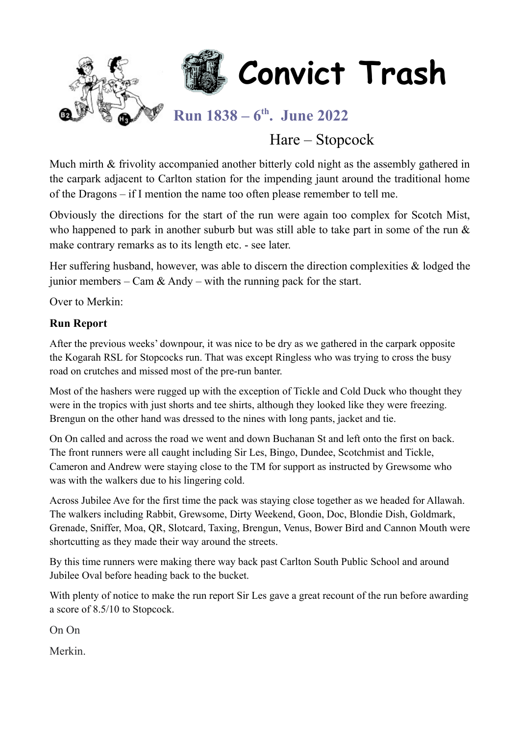

# Hare – Stopcock

Much mirth & frivolity accompanied another bitterly cold night as the assembly gathered in the carpark adjacent to Carlton station for the impending jaunt around the traditional home of the Dragons – if I mention the name too often please remember to tell me.

Obviously the directions for the start of the run were again too complex for Scotch Mist, who happened to park in another suburb but was still able to take part in some of the run & make contrary remarks as to its length etc. - see later.

Her suffering husband, however, was able to discern the direction complexities & lodged the junior members – Cam & Andy – with the running pack for the start.

Over to Merkin:

#### **Run Report**

After the previous weeks' downpour, it was nice to be dry as we gathered in the carpark opposite the Kogarah RSL for Stopcocks run. That was except Ringless who was trying to cross the busy road on crutches and missed most of the pre-run banter.

Most of the hashers were rugged up with the exception of Tickle and Cold Duck who thought they were in the tropics with just shorts and tee shirts, although they looked like they were freezing. Brengun on the other hand was dressed to the nines with long pants, jacket and tie.

On On called and across the road we went and down Buchanan St and left onto the first on back. The front runners were all caught including Sir Les, Bingo, Dundee, Scotchmist and Tickle, Cameron and Andrew were staying close to the TM for support as instructed by Grewsome who was with the walkers due to his lingering cold.

Across Jubilee Ave for the first time the pack was staying close together as we headed for Allawah. The walkers including Rabbit, Grewsome, Dirty Weekend, Goon, Doc, Blondie Dish, Goldmark, Grenade, Sniffer, Moa, QR, Slotcard, Taxing, Brengun, Venus, Bower Bird and Cannon Mouth were shortcutting as they made their way around the streets.

By this time runners were making there way back past Carlton South Public School and around Jubilee Oval before heading back to the bucket.

With plenty of notice to make the run report Sir Les gave a great recount of the run before awarding a score of 8.5/10 to Stopcock.

On On

Merkin.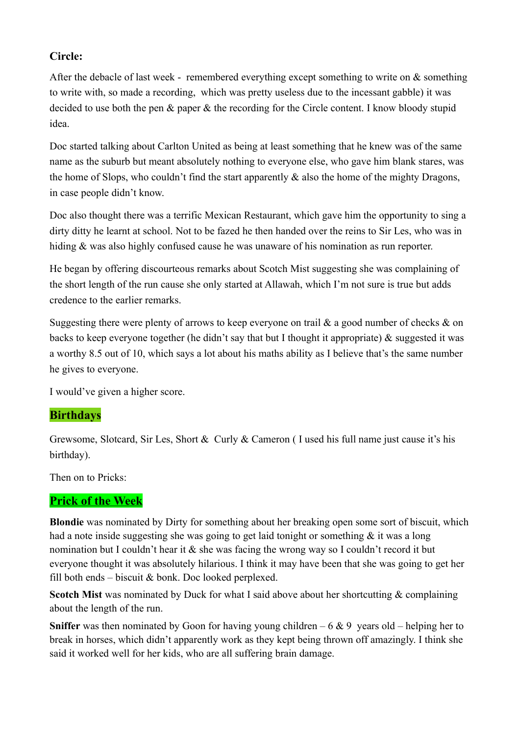#### **Circle:**

After the debacle of last week - remembered everything except something to write on  $\&$  something to write with, so made a recording, which was pretty useless due to the incessant gabble) it was decided to use both the pen & paper & the recording for the Circle content. I know bloody stupid idea.

Doc started talking about Carlton United as being at least something that he knew was of the same name as the suburb but meant absolutely nothing to everyone else, who gave him blank stares, was the home of Slops, who couldn't find the start apparently  $\&$  also the home of the mighty Dragons, in case people didn't know.

Doc also thought there was a terrific Mexican Restaurant, which gave him the opportunity to sing a dirty ditty he learnt at school. Not to be fazed he then handed over the reins to Sir Les, who was in hiding & was also highly confused cause he was unaware of his nomination as run reporter.

He began by offering discourteous remarks about Scotch Mist suggesting she was complaining of the short length of the run cause she only started at Allawah, which I'm not sure is true but adds credence to the earlier remarks.

Suggesting there were plenty of arrows to keep everyone on trail  $\&$  a good number of checks  $\&$  on backs to keep everyone together (he didn't say that but I thought it appropriate) & suggested it was a worthy 8.5 out of 10, which says a lot about his maths ability as I believe that's the same number he gives to everyone.

I would've given a higher score.

#### **Birthdays**

Grewsome, Slotcard, Sir Les, Short & Curly & Cameron ( I used his full name just cause it's his birthday).

Then on to Pricks:

#### **Prick of the Week**

**Blondie** was nominated by Dirty for something about her breaking open some sort of biscuit, which had a note inside suggesting she was going to get laid tonight or something & it was a long nomination but I couldn't hear it & she was facing the wrong way so I couldn't record it but everyone thought it was absolutely hilarious. I think it may have been that she was going to get her fill both ends – biscuit  $&$  bonk. Doc looked perplexed.

**Scotch Mist** was nominated by Duck for what I said above about her shortcutting & complaining about the length of the run.

**Sniffer** was then nominated by Goon for having young children  $-6 \& 9$  years old – helping her to break in horses, which didn't apparently work as they kept being thrown off amazingly. I think she said it worked well for her kids, who are all suffering brain damage.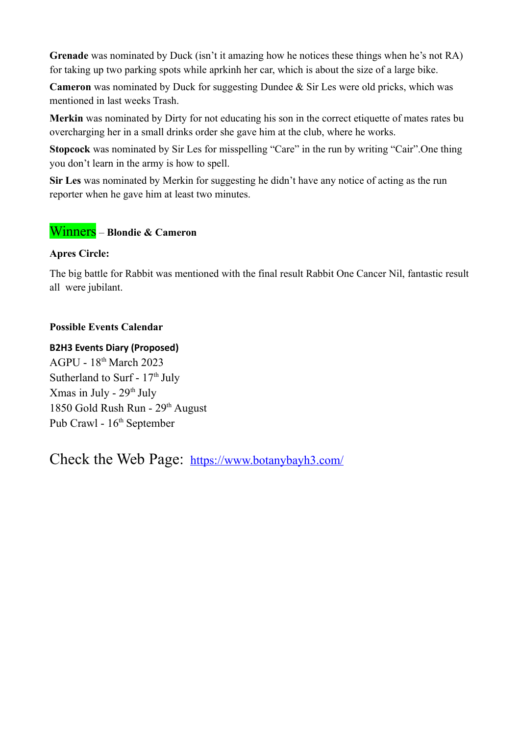**Grenade** was nominated by Duck (isn't it amazing how he notices these things when he's not RA) for taking up two parking spots while aprkinh her car, which is about the size of a large bike.

**Cameron** was nominated by Duck for suggesting Dundee & Sir Les were old pricks, which was mentioned in last weeks Trash.

**Merkin** was nominated by Dirty for not educating his son in the correct etiquette of mates rates bu overcharging her in a small drinks order she gave him at the club, where he works.

**Stopcock** was nominated by Sir Les for misspelling "Care" in the run by writing "Cair".One thing you don't learn in the army is how to spell.

**Sir Les** was nominated by Merkin for suggesting he didn't have any notice of acting as the run reporter when he gave him at least two minutes.

#### Winners – **Blondie & Cameron**

#### **Apres Circle:**

The big battle for Rabbit was mentioned with the final result Rabbit One Cancer Nil, fantastic result all were jubilant.

#### **Possible Events Calendar**

#### **B2H3 Events Diary (Proposed)**

AGPU - 18th March 2023 Sutherland to Surf -  $17<sup>th</sup>$  July Xmas in July -  $29<sup>th</sup>$  July 1850 Gold Rush Run - 29<sup>th</sup> August Pub Crawl - 16<sup>th</sup> September

Check the Web Page: <https://www.botanybayh3.com/>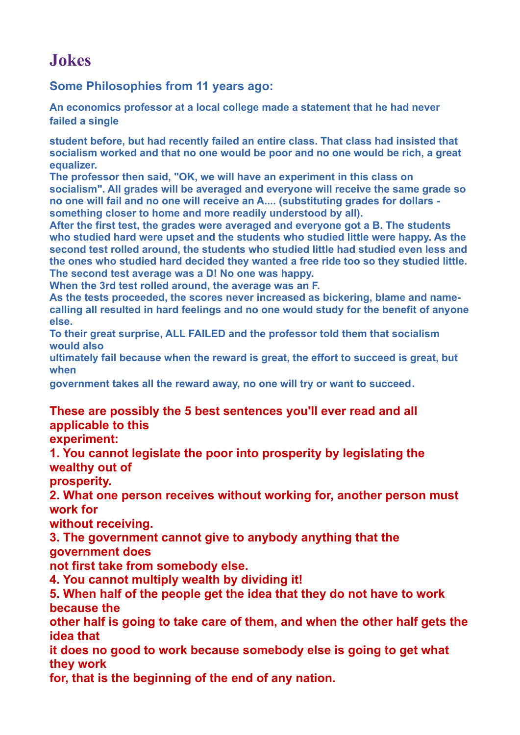# **Jokes**

#### **Some Philosophies from 11 years ago:**

**An economics professor at a local college made a statement that he had never failed a single**

**student before, but had recently failed an entire class. That class had insisted that socialism worked and that no one would be poor and no one would be rich, a great equalizer.**

**The professor then said, "OK, we will have an experiment in this class on socialism". All grades will be averaged and everyone will receive the same grade so no one will fail and no one will receive an A.... (substituting grades for dollars something closer to home and more readily understood by all).**

**After the first test, the grades were averaged and everyone got a B. The students who studied hard were upset and the students who studied little were happy. As the second test rolled around, the students who studied little had studied even less and the ones who studied hard decided they wanted a free ride too so they studied little. The second test average was a D! No one was happy.** 

**When the 3rd test rolled around, the average was an F.**

**As the tests proceeded, the scores never increased as bickering, blame and namecalling all resulted in hard feelings and no one would study for the benefit of anyone else.**

**To their great surprise, ALL FAILED and the professor told them that socialism would also**

**ultimately fail because when the reward is great, the effort to succeed is great, but when**

**government takes all the reward away, no one will try or want to succeed.**

### **These are possibly the 5 best sentences you'll ever read and all applicable to this**

**experiment:**

**1. You cannot legislate the poor into prosperity by legislating the wealthy out of**

**prosperity.**

**2. What one person receives without working for, another person must work for**

**without receiving.**

**3. The government cannot give to anybody anything that the** 

**government does**

**not first take from somebody else.**

**4. You cannot multiply wealth by dividing it!**

**5. When half of the people get the idea that they do not have to work because the**

**other half is going to take care of them, and when the other half gets the idea that**

**it does no good to work because somebody else is going to get what they work**

**for, that is the beginning of the end of any nation.**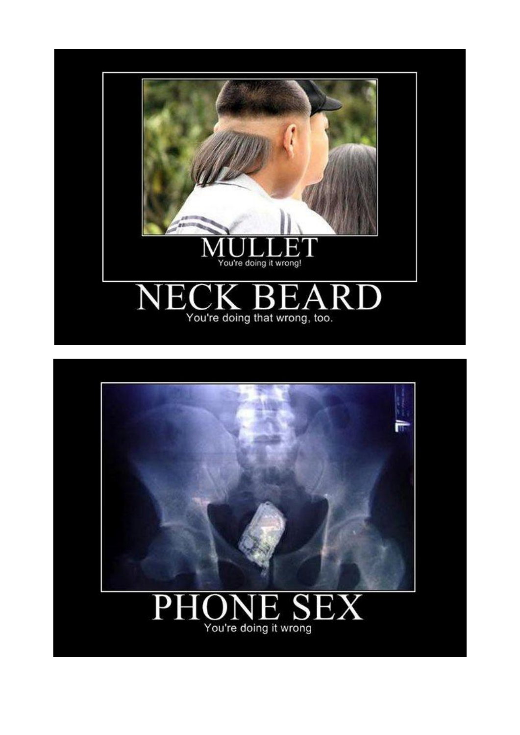

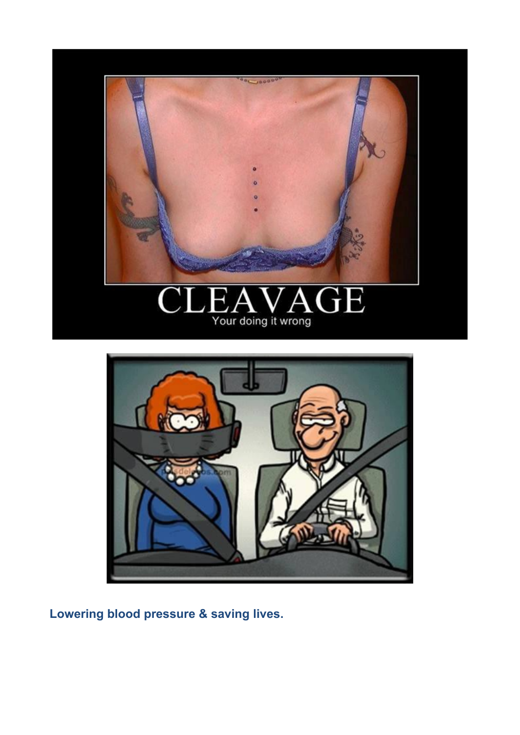





**Lowering blood pressure & saving lives.**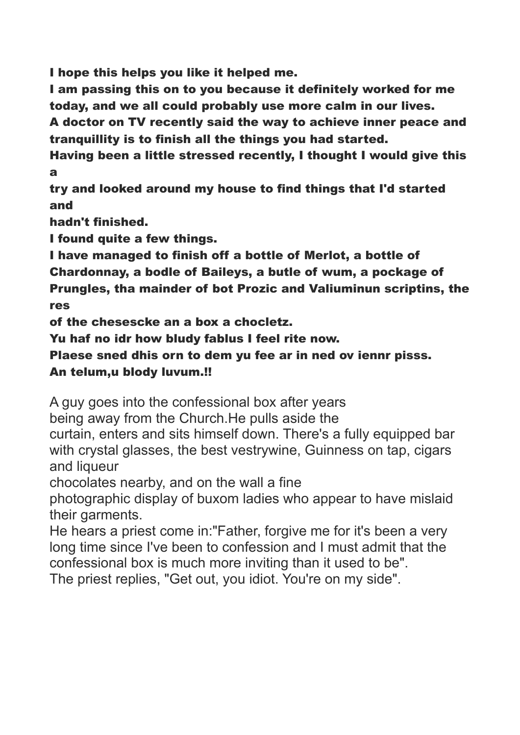I hope this helps you like it helped me.

I am passing this on to you because it definitely worked for me today, and we all could probably use more calm in our lives.

A doctor on TV recently said the way to achieve inner peace and tranquillity is to finish all the things you had started.

Having been a little stressed recently, I thought I would give this a

try and looked around my house to find things that I'd started and

hadn't finished.

I found quite a few things.

I have managed to finish off a bottle of Merlot, a bottle of

Chardonnay, a bodle of Baileys, a butle of wum, a pockage of Prungles, tha mainder of bot Prozic and Valiuminun scriptins, the

res

of the chesescke an a box a chocletz.

Yu haf no idr how bludy fablus I feel rite now.

Plaese sned dhis orn to dem yu fee ar in ned ov iennr pisss. An telum,u blody luvum.!!

A guy goes into the confessional box after years

being away from the Church.He pulls aside the

curtain, enters and sits himself down. There's a fully equipped bar with crystal glasses, the best vestrywine, Guinness on tap, cigars and liqueur

chocolates nearby, and on the wall a fine

photographic display of buxom ladies who appear to have mislaid their garments.

He hears a priest come in:"Father, forgive me for it's been a very long time since I've been to confession and I must admit that the confessional box is much more inviting than it used to be".

The priest replies, "Get out, you idiot. You're on my side".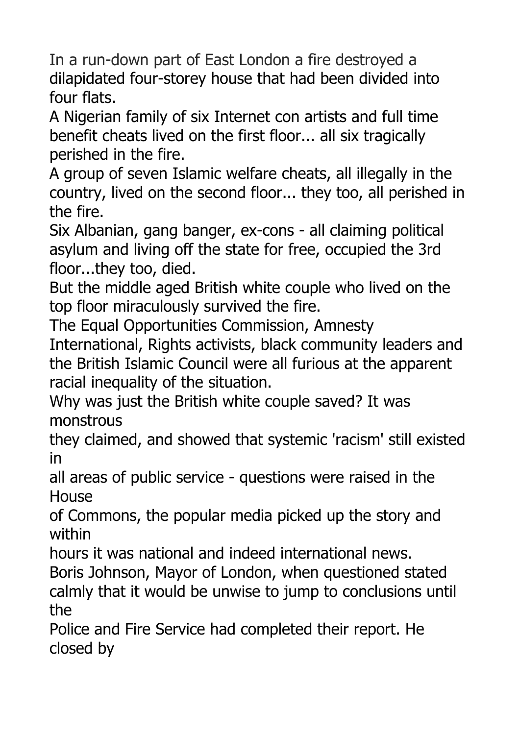In a run-down part of East London a fire destroyed a dilapidated four-storey house that had been divided into four flats.

A Nigerian family of six Internet con artists and full time benefit cheats lived on the first floor... all six tragically perished in the fire.

A group of seven Islamic welfare cheats, all illegally in the country, lived on the second floor... they too, all perished in the fire.

Six Albanian, gang banger, ex-cons - all claiming political asylum and living off the state for free, occupied the 3rd floor...they too, died.

But the middle aged British white couple who lived on the top floor miraculously survived the fire.

The Equal Opportunities Commission, Amnesty

International, Rights activists, black community leaders and the British Islamic Council were all furious at the apparent racial inequality of the situation.

Why was just the British white couple saved? It was monstrous

they claimed, and showed that systemic 'racism' still existed in

all areas of public service - questions were raised in the House

of Commons, the popular media picked up the story and within

hours it was national and indeed international news.

Boris Johnson, Mayor of London, when questioned stated calmly that it would be unwise to jump to conclusions until the

Police and Fire Service had completed their report. He closed by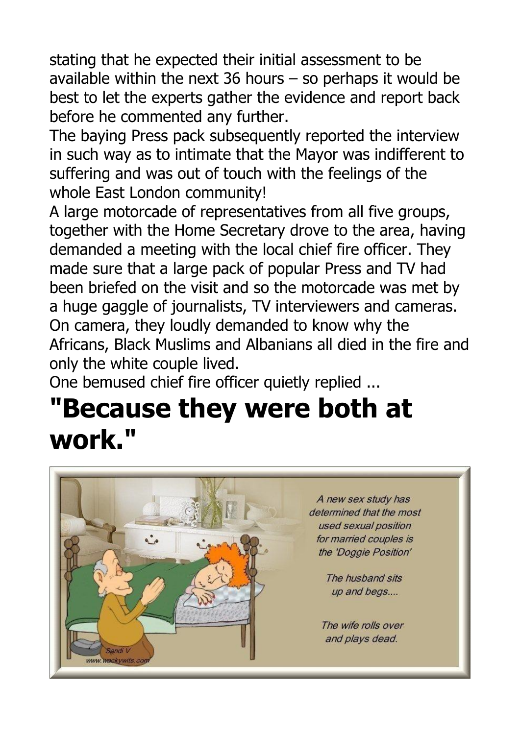stating that he expected their initial assessment to be available within the next 36 hours  $-$  so perhaps it would be best to let the experts gather the evidence and report back before he commented any further.

The baying Press pack subsequently reported the interview in such way as to intimate that the Mayor was indifferent to suffering and was out of touch with the feelings of the whole East London community!

A large motorcade of representatives from all five groups, together with the Home Secretary drove to the area, having demanded a meeting with the local chief fire officer. They made sure that a large pack of popular Press and TV had been briefed on the visit and so the motorcade was met by a huge gaggle of journalists, TV interviewers and cameras. On camera, they loudly demanded to know why the Africans, Black Muslims and Albanians all died in the fire and only the white couple lived.

One bemused chief fire officer quietly replied ...

# **"Because they were both at work."**

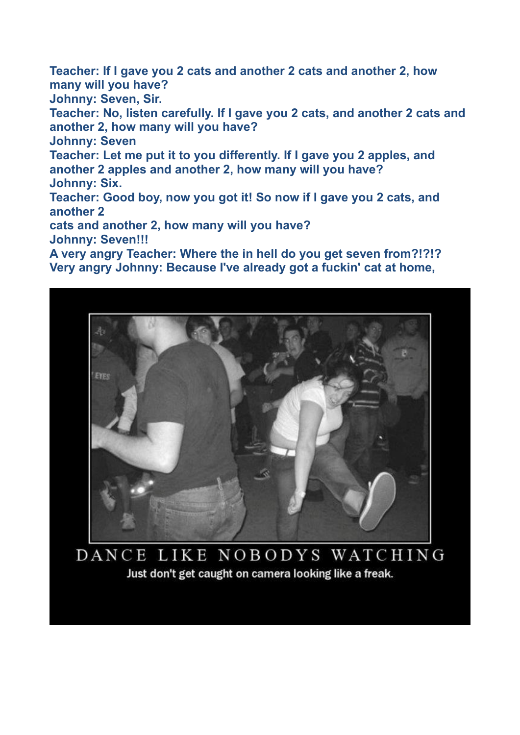**Teacher: If I gave you 2 cats and another 2 cats and another 2, how many will you have? Johnny: Seven, Sir. Teacher: No, listen carefully. If I gave you 2 cats, and another 2 cats and another 2, how many will you have? Johnny: Seven Teacher: Let me put it to you differently. If I gave you 2 apples, and another 2 apples and another 2, how many will you have? Johnny: Six. Teacher: Good boy, now you got it! So now if I gave you 2 cats, and another 2 cats and another 2, how many will you have? Johnny: Seven!!! A very angry Teacher: Where the in hell do you get seven from?!?!?**

**Very angry Johnny: Because I've already got a fuckin' cat at home,**



DANCE LIKE NOBODYS WATCHING Just don't get caught on camera looking like a freak.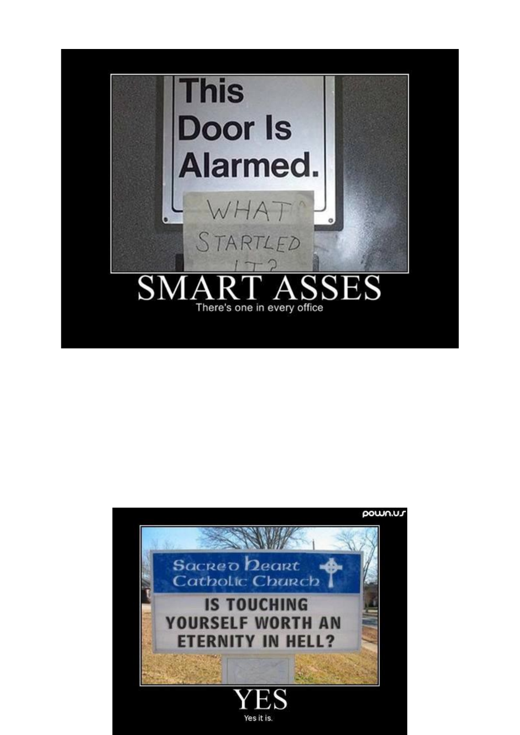

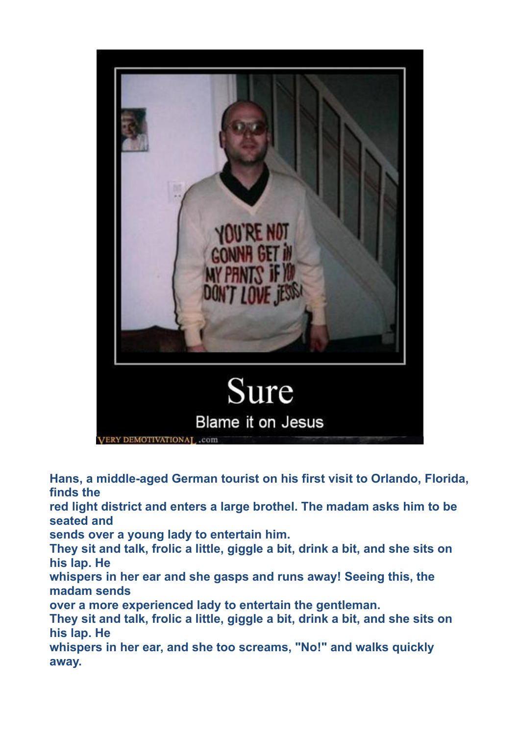

**Hans, a middle-aged German tourist on his first visit to Orlando, Florida, finds the red light district and enters a large brothel. The madam asks him to be seated and sends over a young lady to entertain him. They sit and talk, frolic a little, giggle a bit, drink a bit, and she sits on his lap. He whispers in her ear and she gasps and runs away! Seeing this, the madam sends over a more experienced lady to entertain the gentleman. They sit and talk, frolic a little, giggle a bit, drink a bit, and she sits on his lap. He whispers in her ear, and she too screams, "No!" and walks quickly away.**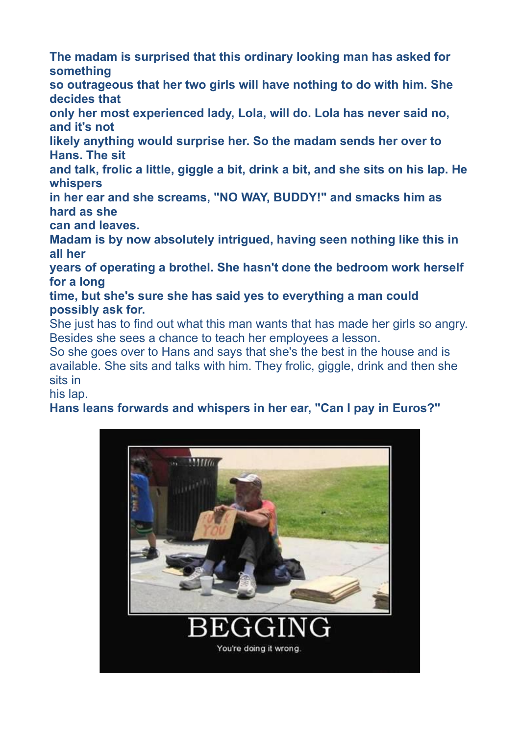**The madam is surprised that this ordinary looking man has asked for something**

**so outrageous that her two girls will have nothing to do with him. She decides that**

**only her most experienced lady, Lola, will do. Lola has never said no, and it's not**

**likely anything would surprise her. So the madam sends her over to Hans. The sit**

**and talk, frolic a little, giggle a bit, drink a bit, and she sits on his lap. He whispers**

**in her ear and she screams, "NO WAY, BUDDY!" and smacks him as hard as she**

**can and leaves.**

**Madam is by now absolutely intrigued, having seen nothing like this in all her**

**years of operating a brothel. She hasn't done the bedroom work herself for a long**

**time, but she's sure she has said yes to everything a man could possibly ask for.**

She just has to find out what this man wants that has made her girls so angry. Besides she sees a chance to teach her employees a lesson.

So she goes over to Hans and says that she's the best in the house and is available. She sits and talks with him. They frolic, giggle, drink and then she sits in

his lap.

## **Hans leans forwards and whispers in her ear, "Can I pay in Euros?"**

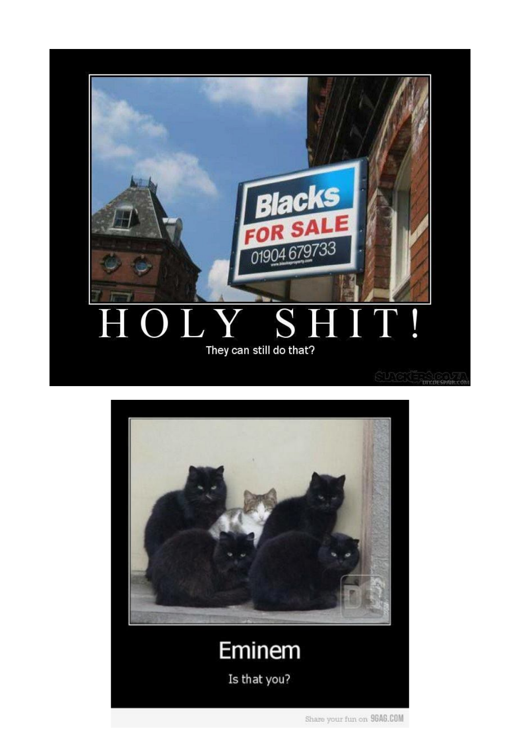

#### q JY  $S^{\dagger}$ H ļ i<br>L H They can still do that?